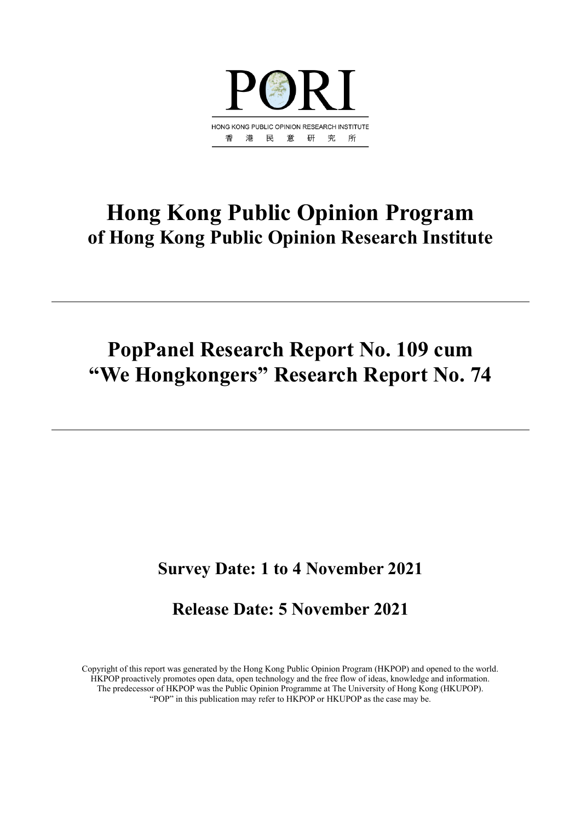

# **Hong Kong Public Opinion Program of Hong Kong Public Opinion Research Institute**

# **PopPanel Research Report No. 109 cum "We Hongkongers" Research Report No. 74**

# **Survey Date: 1 to 4 November 2021**

# **Release Date: 5 November 2021**

Copyright of this report was generated by the Hong Kong Public Opinion Program (HKPOP) and opened to the world. HKPOP proactively promotes open data, open technology and the free flow of ideas, knowledge and information. The predecessor of HKPOP was the Public Opinion Programme at The University of Hong Kong (HKUPOP). "POP" in this publication may refer to HKPOP or HKUPOP as the case may be.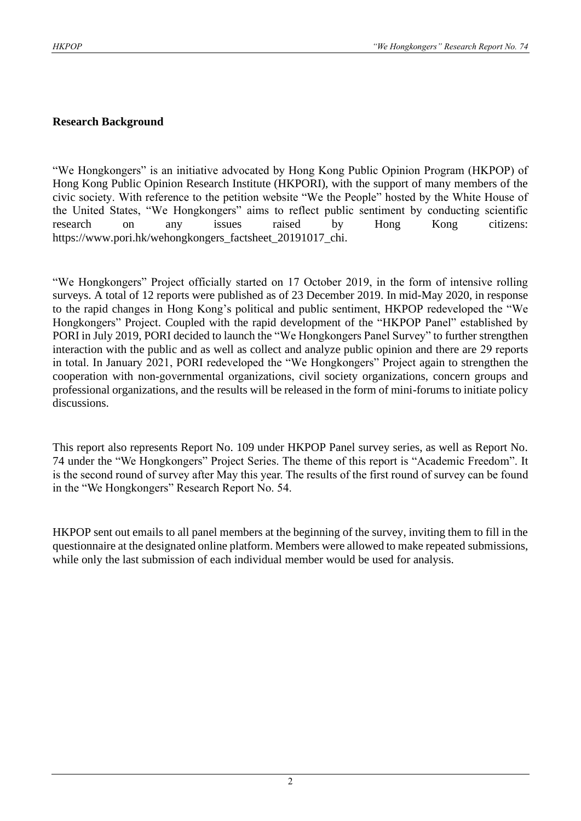# **Research Background**

"We Hongkongers" is an initiative advocated by Hong Kong Public Opinion Program (HKPOP) of Hong Kong Public Opinion Research Institute (HKPORI), with the support of many members of the civic society. With reference to the petition website "We the People" hosted by the White House of the United States, "We Hongkongers" aims to reflect public sentiment by conducting scientific research on any issues raised by Hong Kong citizens: https://www.pori.hk/wehongkongers\_factsheet\_20191017\_chi.

"We Hongkongers" Project officially started on 17 October 2019, in the form of intensive rolling surveys. A total of 12 reports were published as of 23 December 2019. In mid-May 2020, in response to the rapid changes in Hong Kong's political and public sentiment, HKPOP redeveloped the "We Hongkongers" Project. Coupled with the rapid development of the "HKPOP Panel" established by PORI in July 2019, PORI decided to launch the "We Hongkongers Panel Survey" to further strengthen interaction with the public and as well as collect and analyze public opinion and there are 29 reports in total. In January 2021, PORI redeveloped the "We Hongkongers" Project again to strengthen the cooperation with non-governmental organizations, civil society organizations, concern groups and professional organizations, and the results will be released in the form of mini-forums to initiate policy discussions.

This report also represents Report No. 109 under HKPOP Panel survey series, as well as Report No. 74 under the "We Hongkongers" Project Series. The theme of this report is "Academic Freedom". It is the second round of survey after May this year. The results of the first round of survey can be found in the "We Hongkongers" Research Report No. 54.

HKPOP sent out emails to all panel members at the beginning of the survey, inviting them to fill in the questionnaire at the designated online platform. Members were allowed to make repeated submissions, while only the last submission of each individual member would be used for analysis.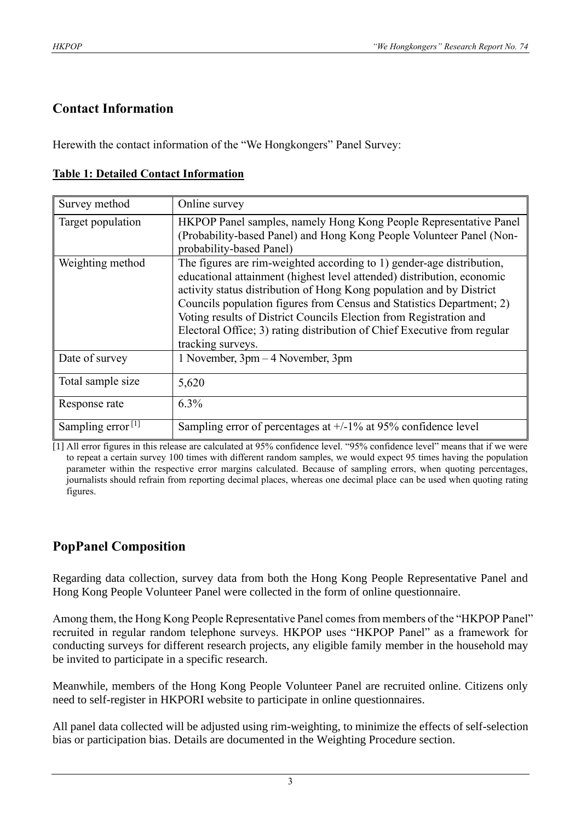# **Contact Information**

Herewith the contact information of the "We Hongkongers" Panel Survey:

| Survey method                 | Online survey                                                                                                                                                                                                                                                                                                                                                                                                                                                           |
|-------------------------------|-------------------------------------------------------------------------------------------------------------------------------------------------------------------------------------------------------------------------------------------------------------------------------------------------------------------------------------------------------------------------------------------------------------------------------------------------------------------------|
| Target population             | HKPOP Panel samples, namely Hong Kong People Representative Panel<br>(Probability-based Panel) and Hong Kong People Volunteer Panel (Non-<br>probability-based Panel)                                                                                                                                                                                                                                                                                                   |
| Weighting method              | The figures are rim-weighted according to 1) gender-age distribution,<br>educational attainment (highest level attended) distribution, economic<br>activity status distribution of Hong Kong population and by District<br>Councils population figures from Census and Statistics Department; 2)<br>Voting results of District Councils Election from Registration and<br>Electoral Office; 3) rating distribution of Chief Executive from regular<br>tracking surveys. |
| Date of survey                | 1 November, 3pm – 4 November, 3pm                                                                                                                                                                                                                                                                                                                                                                                                                                       |
| Total sample size             | 5,620                                                                                                                                                                                                                                                                                                                                                                                                                                                                   |
| Response rate                 | $6.3\%$                                                                                                                                                                                                                                                                                                                                                                                                                                                                 |
| Sampling error <sup>[1]</sup> | Sampling error of percentages at $+/-1\%$ at 95% confidence level                                                                                                                                                                                                                                                                                                                                                                                                       |

**Table 1: Detailed Contact Information**

[1] All error figures in this release are calculated at 95% confidence level. "95% confidence level" means that if we were to repeat a certain survey 100 times with different random samples, we would expect 95 times having the population parameter within the respective error margins calculated. Because of sampling errors, when quoting percentages, journalists should refrain from reporting decimal places, whereas one decimal place can be used when quoting rating figures.

# **PopPanel Composition**

Regarding data collection, survey data from both the Hong Kong People Representative Panel and Hong Kong People Volunteer Panel were collected in the form of online questionnaire.

Among them, the Hong Kong People Representative Panel comes from members of the "HKPOP Panel" recruited in regular random telephone surveys. HKPOP uses "HKPOP Panel" as a framework for conducting surveys for different research projects, any eligible family member in the household may be invited to participate in a specific research.

Meanwhile, members of the Hong Kong People Volunteer Panel are recruited online. Citizens only need to self-register in HKPORI website to participate in online questionnaires.

All panel data collected will be adjusted using rim-weighting, to minimize the effects of self-selection bias or participation bias. Details are documented in the Weighting Procedure section.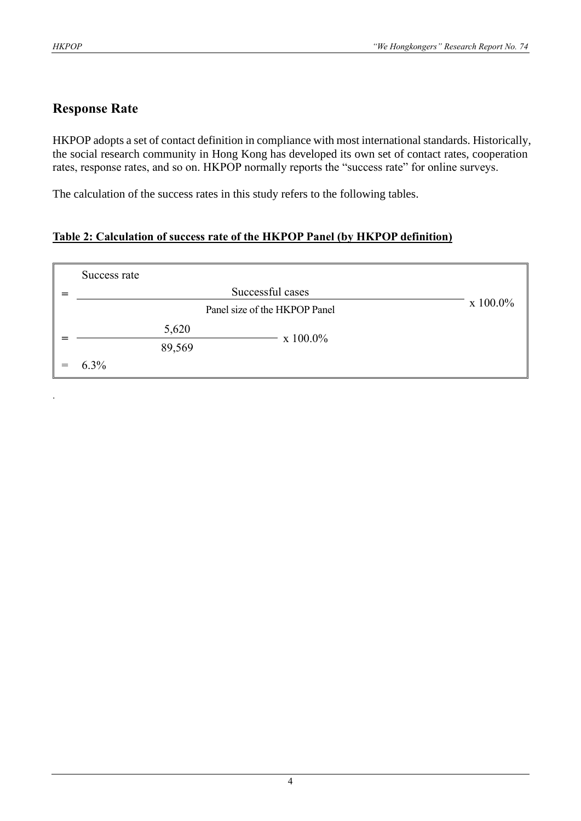.

# **Response Rate**

HKPOP adopts a set of contact definition in compliance with most international standards. Historically, the social research community in Hong Kong has developed its own set of contact rates, cooperation rates, response rates, and so on. HKPOP normally reports the "success rate" for online surveys.

The calculation of the success rates in this study refers to the following tables.

## **Table 2: Calculation of success rate of the HKPOP Panel (by HKPOP definition)**

|   | Success rate |        |                               |          |
|---|--------------|--------|-------------------------------|----------|
|   |              |        | Successful cases              |          |
|   |              |        | Panel size of the HKPOP Panel | x 100.0% |
|   |              | 5,620  | $x 100.0\%$                   |          |
|   |              | 89,569 |                               |          |
| ≕ | $6.3\%$      |        |                               |          |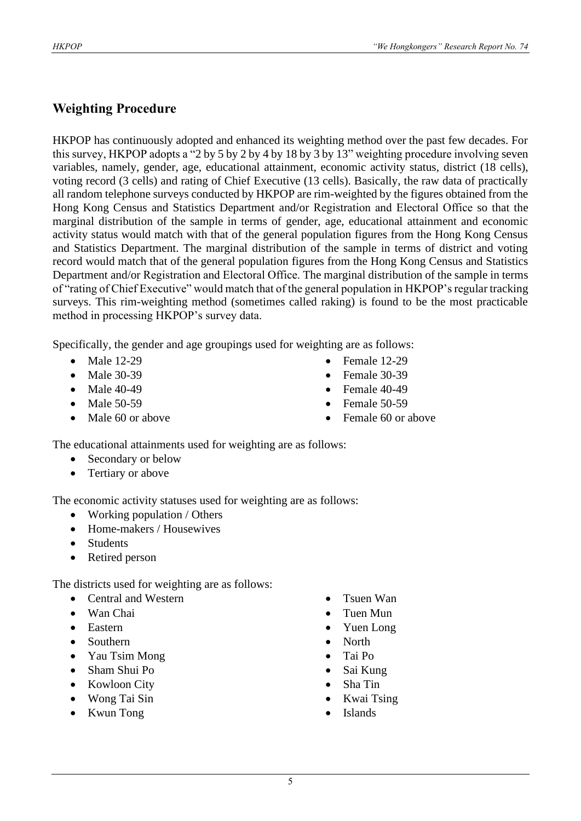# **Weighting Procedure**

HKPOP has continuously adopted and enhanced its weighting method over the past few decades. For this survey, HKPOP adopts a "2 by 5 by 2 by 4 by 18 by 3 by 13" weighting procedure involving seven variables, namely, gender, age, educational attainment, economic activity status, district (18 cells), voting record (3 cells) and rating of Chief Executive (13 cells). Basically, the raw data of practically all random telephone surveys conducted by HKPOP are rim-weighted by the figures obtained from the Hong Kong Census and Statistics Department and/or Registration and Electoral Office so that the marginal distribution of the sample in terms of gender, age, educational attainment and economic activity status would match with that of the general population figures from the Hong Kong Census and Statistics Department. The marginal distribution of the sample in terms of district and voting record would match that of the general population figures from the Hong Kong Census and Statistics Department and/or Registration and Electoral Office. The marginal distribution of the sample in terms of "rating of Chief Executive" would match that of the general population in HKPOP's regular tracking surveys. This rim-weighting method (sometimes called raking) is found to be the most practicable method in processing HKPOP's survey data.

Specifically, the gender and age groupings used for weighting are as follows:

- Male 12-29
- Male 30-39
- Male 40-49
- Male 50-59
- Male 60 or above
- Female 12-29
- Female 30-39
- Female 40-49
- Female 50-59
- Female 60 or above

The educational attainments used for weighting are as follows:

- Secondary or below
- Tertiary or above

The economic activity statuses used for weighting are as follows:

- Working population / Others
- Home-makers / Housewives
- Students
- Retired person

The districts used for weighting are as follows:

- Central and Western
- Wan Chai
- Eastern
- Southern
- Yau Tsim Mong
- Sham Shui Po
- Kowloon City
- Wong Tai Sin
- Kwun Tong
- Tsuen Wan
- Tuen Mun
- Yuen Long
- North
- Tai Po
- Sai Kung
- Sha Tin
- Kwai Tsing
- **Islands**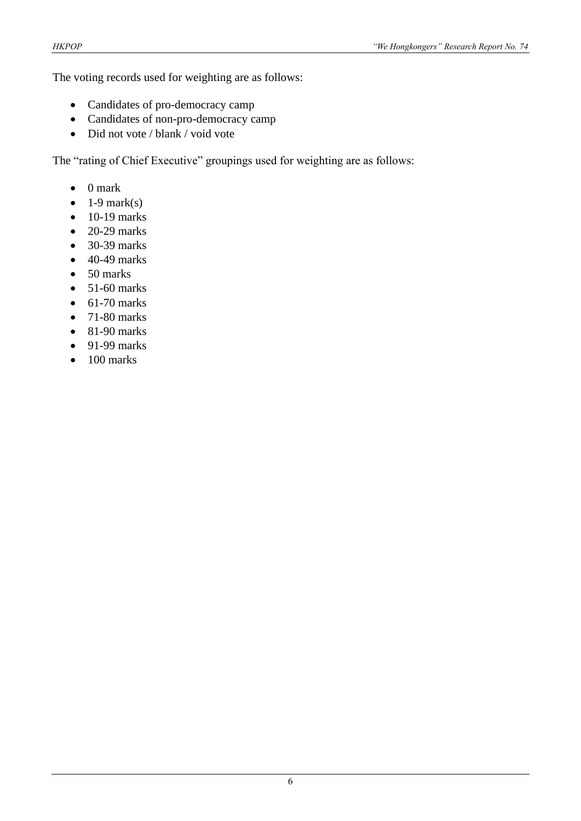The voting records used for weighting are as follows:

- Candidates of pro-democracy camp
- Candidates of non-pro-democracy camp
- Did not vote / blank / void vote

The "rating of Chief Executive" groupings used for weighting are as follows:

- 0 mark
- $\bullet$  1-9 mark(s)
- $\bullet$  10-19 marks
- $\bullet$  20-29 marks
- 30-39 marks
- $\bullet$  40-49 marks
- 50 marks
- $\bullet$  51-60 marks
- $\bullet$  61-70 marks
- $\bullet$  71-80 marks
- 81-90 marks
- 91-99 marks
- $\bullet$  100 marks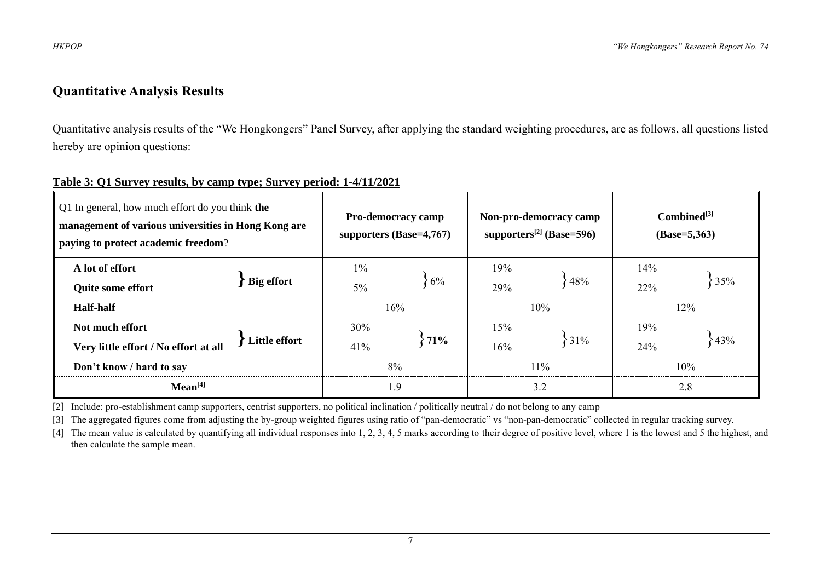# **Quantitative Analysis Results**

Quantitative analysis results of the "We Hongkongers" Panel Survey, after applying the standard weighting procedures, are as follows, all questions listed hereby are opinion questions:

| Q1 In general, how much effort do you think the<br>management of various universities in Hong Kong are<br>paying to protect academic freedom? | <b>Pro-democracy camp</b><br>supporters $(Base=4,767)$ |                |        | Non-pro-democracy camp<br>supporters <sup>[2]</sup> (Base=596) | $Combined^{[3]}$<br>$(Base = 5,363)$ |            |     |
|-----------------------------------------------------------------------------------------------------------------------------------------------|--------------------------------------------------------|----------------|--------|----------------------------------------------------------------|--------------------------------------|------------|-----|
| A lot of effort<br><b>Quite some effort</b>                                                                                                   | <b>Big effort</b>                                      | $1\%$<br>$5\%$ | $6\%$  | 19%<br>29%                                                     | $-48%$                               | 14%<br>22% | 35% |
| <b>Half-half</b>                                                                                                                              |                                                        | 16%            |        |                                                                | 10%                                  | 12%        |     |
| Not much effort                                                                                                                               |                                                        | 30%            |        | 15%                                                            |                                      | 19%        |     |
| Very little effort / No effort at all                                                                                                         | Little effort                                          | 41%            | $21\%$ | 16%                                                            | 31%                                  | 24%        | 43% |
| Don't know / hard to say                                                                                                                      |                                                        | 8%             |        |                                                                | $11\%$                               |            | 10% |
| Mean <sup>[4]</sup>                                                                                                                           |                                                        | 1.9            |        |                                                                | 3.2                                  | 2.8        |     |

#### **Table 3: Q1 Survey results, by camp type; Survey period: 1-4/11/2021**

[2] Include: pro-establishment camp supporters, centrist supporters, no political inclination / politically neutral / do not belong to any camp

[3] The aggregated figures come from adjusting the by-group weighted figures using ratio of "pan-democratic" vs "non-pan-democratic" collected in regular tracking survey.

[4] The mean value is calculated by quantifying all individual responses into 1, 2, 3, 4, 5 marks according to their degree of positive level, where 1 is the lowest and 5 the highest, and then calculate the sample mean.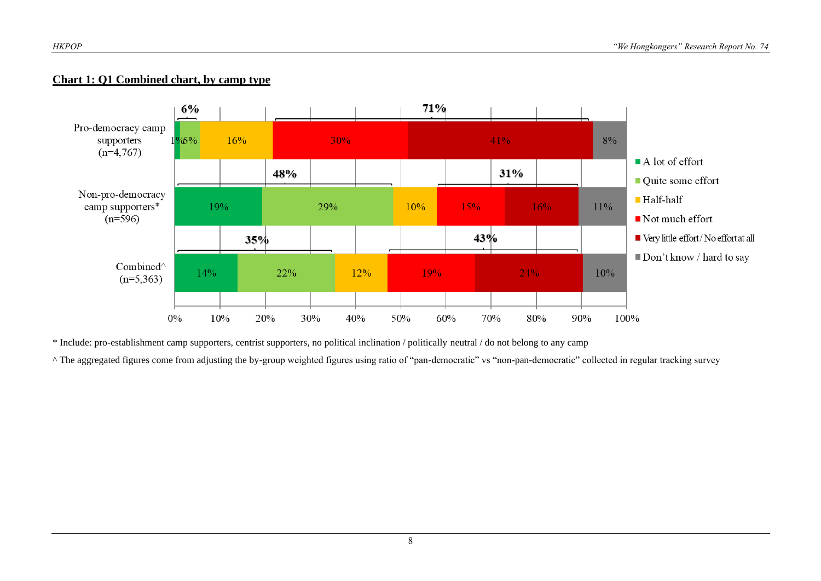#### **Chart 1: Q1 Combined chart, by camp type**



\* Include: pro-establishment camp supporters, centrist supporters, no political inclination / politically neutral / do not belong to any camp

^ The aggregated figures come from adjusting the by-group weighted figures using ratio of "pan-democratic" vs "non-pan-democratic" collected in regular tracking survey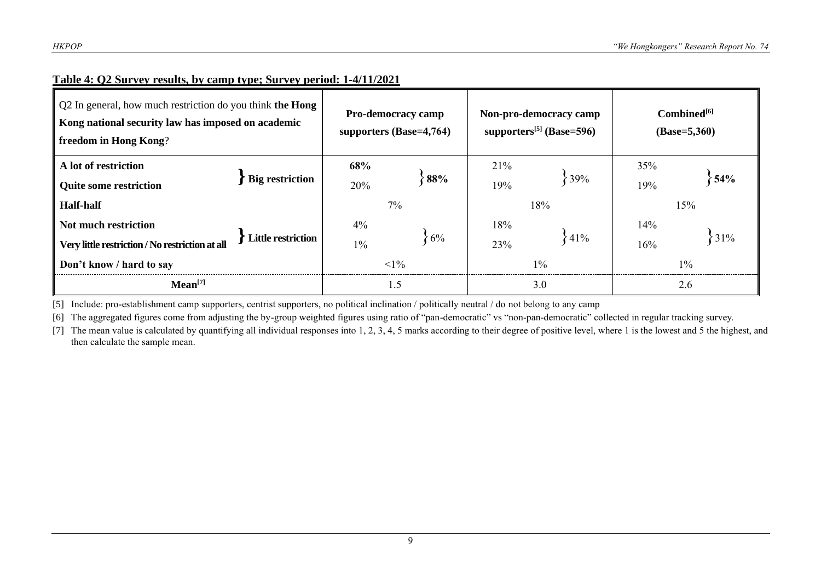| Q2 In general, how much restriction do you think the Hong<br>Kong national security law has imposed on academic<br>freedom in Hong Kong? |                           |            | <b>Pro-democracy camp</b><br>supporters $(Base=4,764)$ |            | Non-pro-democracy camp<br>supporters <sup>[5]</sup> (Base=596) | $Combined^{[6]}$<br>$(Base = 5,360)$ |       |  |
|------------------------------------------------------------------------------------------------------------------------------------------|---------------------------|------------|--------------------------------------------------------|------------|----------------------------------------------------------------|--------------------------------------|-------|--|
| A lot of restriction<br><b>Quite some restriction</b>                                                                                    | <b>Big restriction</b>    | 68%<br>20% | 88%                                                    | 21%<br>19% | 39%                                                            | 35%<br>19%                           | 54%   |  |
| <b>Half-half</b>                                                                                                                         |                           | 7%         |                                                        | 18%        |                                                                | 15%                                  |       |  |
| <b>Not much restriction</b>                                                                                                              |                           | 4%         |                                                        | 18%        |                                                                | 14%                                  |       |  |
| Very little restriction / No restriction at all                                                                                          | <b>Little restriction</b> | 1%         | 6%                                                     | 23%        | $-41%$                                                         | 16%                                  | 31%   |  |
| Don't know / hard to say                                                                                                                 |                           |            | $<1\%$                                                 |            | $1\%$                                                          |                                      | $1\%$ |  |
| Mean <sup>[7]</sup>                                                                                                                      |                           |            | . .5                                                   | 3.0        |                                                                | 2.6                                  |       |  |

#### **Table 4: Q2 Survey results, by camp type; Survey period: 1-4/11/2021**

[5] Include: pro-establishment camp supporters, centrist supporters, no political inclination / politically neutral / do not belong to any camp

[6] The aggregated figures come from adjusting the by-group weighted figures using ratio of "pan-democratic" vs "non-pan-democratic" collected in regular tracking survey.

[7] The mean value is calculated by quantifying all individual responses into 1, 2, 3, 4, 5 marks according to their degree of positive level, where 1 is the lowest and 5 the highest, and then calculate the sample mean.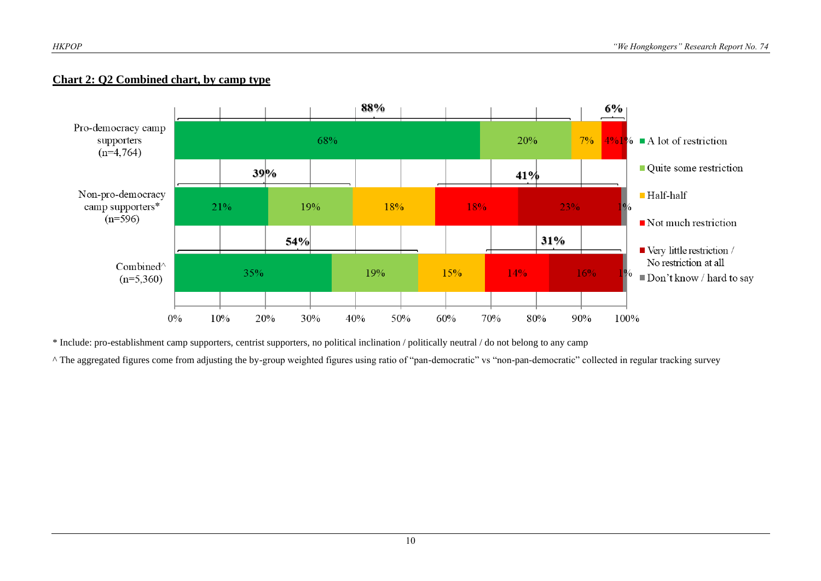#### **Chart 2: Q2 Combined chart, by camp type**



\* Include: pro-establishment camp supporters, centrist supporters, no political inclination / politically neutral / do not belong to any camp

^ The aggregated figures come from adjusting the by-group weighted figures using ratio of "pan-democratic" vs "non-pan-democratic" collected in regular tracking survey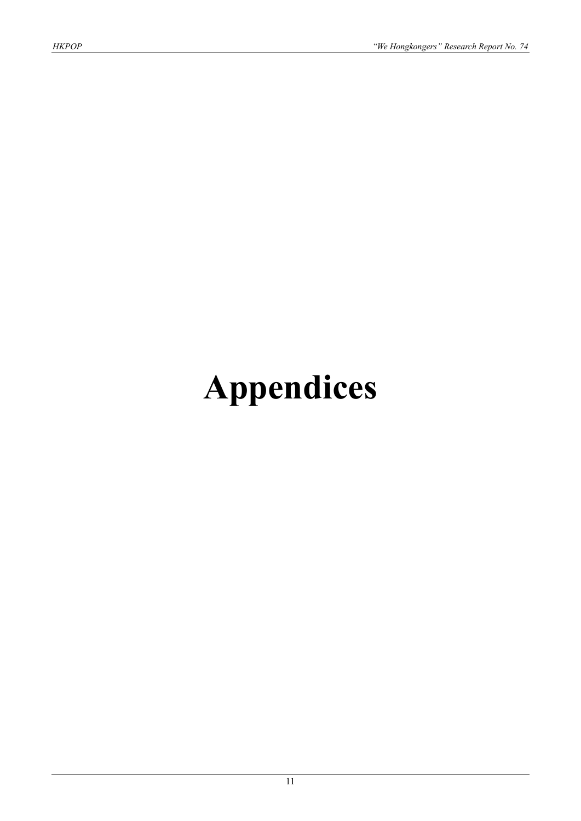# **Appendices**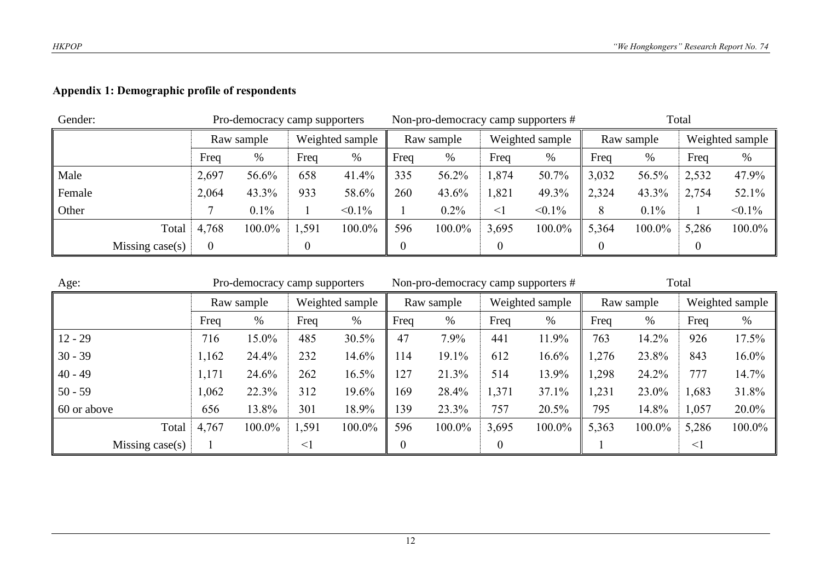# **Appendix 1: Demographic profile of respondents**

| Gender: |                    |            | Pro-democracy camp supporters |                 |           |      | Non-pro-democracy camp supporters # |       |                 | Total      |         |                 |           |
|---------|--------------------|------------|-------------------------------|-----------------|-----------|------|-------------------------------------|-------|-----------------|------------|---------|-----------------|-----------|
|         |                    | Raw sample |                               | Weighted sample |           |      | Raw sample                          |       | Weighted sample | Raw sample |         | Weighted sample |           |
|         |                    | Freq       | %                             | Freq            | $\%$      | Freq | %                                   | Freq  | %               | Freq       | $\%$    | Freq            | %         |
| Male    |                    | 2,697      | 56.6%                         | 658             | 41.4%     | 335  | 56.2%                               | 1,874 | 50.7%           | 3,032      | 56.5%   | 2,532           | 47.9%     |
| Female  |                    | 2,064      | 43.3%                         | 933             | 58.6%     | 260  | 43.6%                               | 1,821 | 49.3%           | 2,324      | 43.3%   | 2,754           | 52.1%     |
| Other   |                    |            | $0.1\%$                       |                 | $< 0.1\%$ |      | $0.2\%$                             | $<$ 1 | $< 0.1\%$       | 8          | $0.1\%$ |                 | $< 0.1\%$ |
|         | Total              | 4,768      | 100.0%                        | 1,591           | 100.0%    | 596  | 100.0%                              | 3,695 | 100.0%          | 5,364      | 100.0%  | 5,286           | 100.0%    |
|         | Missing case $(s)$ | $\theta$   |                               |                 |           |      |                                     |       |                 |            |         |                 |           |

| Age:               |       | Pro-democracy camp supporters |                 |        |                | Non-pro-democracy camp supporters # |       |                 | Total |            |                 |        |
|--------------------|-------|-------------------------------|-----------------|--------|----------------|-------------------------------------|-------|-----------------|-------|------------|-----------------|--------|
|                    |       | Raw sample                    | Weighted sample |        | Raw sample     |                                     |       | Weighted sample |       | Raw sample | Weighted sample |        |
|                    | Freq  | %                             | Freq            | $\%$   | Freq           | %                                   | Freq  | %               | Freq  | %          | Freq            | %      |
| $12 - 29$          | 716   | 15.0%                         | 485             | 30.5%  | 47             | 7.9%                                | 441   | 11.9%           | 763   | 14.2%      | 926             | 17.5%  |
| $30 - 39$          | 1,162 | 24.4%                         | 232             | 14.6%  | 114            | 19.1%                               | 612   | 16.6%           | 1,276 | 23.8%      | 843             | 16.0%  |
| $40 - 49$          | 1,171 | 24.6%                         | 262             | 16.5%  | 127            | 21.3%                               | 514   | 13.9%           | 1,298 | 24.2%      | 777             | 14.7%  |
| $50 - 59$          | 1,062 | 22.3%                         | 312             | 19.6%  | 169            | 28.4%                               | 1,371 | 37.1%           | 1,231 | 23.0%      | 1,683           | 31.8%  |
| 60 or above        | 656   | 13.8%                         | 301             | 18.9%  | 139            | 23.3%                               | 757   | 20.5%           | 795   | 14.8%      | 1,057           | 20.0%  |
| Total              | 4,767 | 100.0%                        | 1,591           | 100.0% | 596            | 100.0%                              | 3,695 | 100.0%          | 5,363 | 100.0%     | 5,286           | 100.0% |
| Missing case $(s)$ |       |                               | $\leq$          |        | $\overline{0}$ |                                     |       |                 |       |            | $\leq$          |        |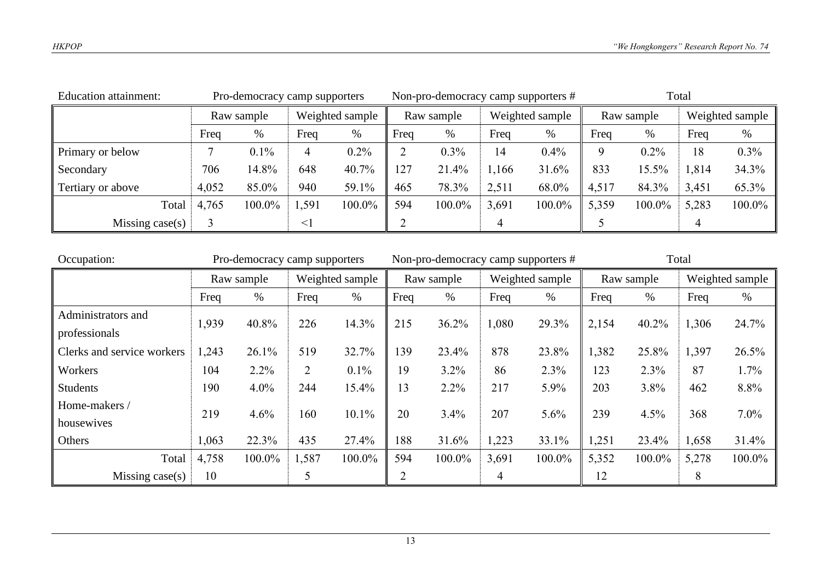| <b>Education attainment:</b> |       | Pro-democracy camp supporters |        |                 |      | Non-pro-democracy camp supporters # |       |                 | Total |            |                 |        |
|------------------------------|-------|-------------------------------|--------|-----------------|------|-------------------------------------|-------|-----------------|-------|------------|-----------------|--------|
|                              |       | Raw sample                    |        | Weighted sample |      | Raw sample                          |       | Weighted sample |       | Raw sample | Weighted sample |        |
|                              | Freq  | $\%$                          | Freq   | $\%$            | Freq | %                                   | Freq  | $\%$            | Freq  | %          | Freq            | $\%$   |
| Primary or below             |       | $0.1\%$                       | 4      | $0.2\%$         |      | 0.3%                                | 14    | 0.4%            | 9     | 0.2%       | 18              | 0.3%   |
| Secondary                    | 706   | 14.8%                         | 648    | 40.7%           | 127  | 21.4%                               | 1,166 | 31.6%           | 833   | 15.5%      | 1,814           | 34.3%  |
| Tertiary or above            | 4,052 | 85.0%                         | 940    | 59.1%           | 465  | 78.3%                               | 2,511 | 68.0%           | 4,517 | 84.3%      | 3,451           | 65.3%  |
| Total                        | 4,765 | 100.0%                        | 1,591  | 100.0%          | 594  | 100.0%                              | 3,691 | 100.0%          | 5,359 | 100.0%     | 5,283           | 100.0% |
| Missing $case(s)$            |       |                               | $\leq$ |                 |      |                                     |       |                 |       |            |                 |        |

| Occupation:                |       | Pro-democracy camp supporters |                |                 |      | Non-pro-democracy camp supporters # |       |                 | Total |            |       |                 |
|----------------------------|-------|-------------------------------|----------------|-----------------|------|-------------------------------------|-------|-----------------|-------|------------|-------|-----------------|
|                            |       | Raw sample                    |                | Weighted sample |      | Raw sample                          |       | Weighted sample |       | Raw sample |       | Weighted sample |
|                            | Freq  | %                             | Freq           | %               | Freq | $\%$                                | Freq  | $\%$            | Freq  | %          | Freq  | %               |
| Administrators and         | 1,939 | 40.8%                         | 226            | 14.3%           |      | 36.2%                               | 1,080 | 29.3%           |       | 40.2%      |       | 24.7%           |
| professionals              |       |                               |                |                 | 215  |                                     |       |                 | 2,154 |            | 1,306 |                 |
| Clerks and service workers | 1,243 | 26.1%                         | 519            | 32.7%           | 139  | 23.4%                               | 878   | 23.8%           | 1,382 | 25.8%      | 1,397 | 26.5%           |
| Workers                    | 104   | 2.2%                          | $\overline{2}$ | 0.1%            | 19   | 3.2%                                | 86    | 2.3%            | 123   | 2.3%       | 87    | 1.7%            |
| <b>Students</b>            | 190   | 4.0%                          | 244            | 15.4%           | 13   | 2.2%                                | 217   | 5.9%            | 203   | 3.8%       | 462   | 8.8%            |
| Home-makers /              | 219   | 4.6%                          | 160            | $10.1\%$        | 20   | 3.4%                                | 207   | 5.6%            | 239   | 4.5%       | 368   | 7.0%            |
| housewives                 |       |                               |                |                 |      |                                     |       |                 |       |            |       |                 |
| Others                     | 1,063 | 22.3%                         | 435            | 27.4%           | 188  | 31.6%                               | 1,223 | 33.1%           | ,251  | 23.4%      | 1,658 | 31.4%           |
| Total                      | 4,758 | 100.0%                        | 1,587          | 100.0%          | 594  | 100.0%                              | 3,691 | 100.0%          | 5,352 | 100.0%     | 5,278 | 100.0%          |
| Missing $case(s)$          | 10    |                               |                |                 | C    |                                     | 4     |                 | 12    |            | 8     |                 |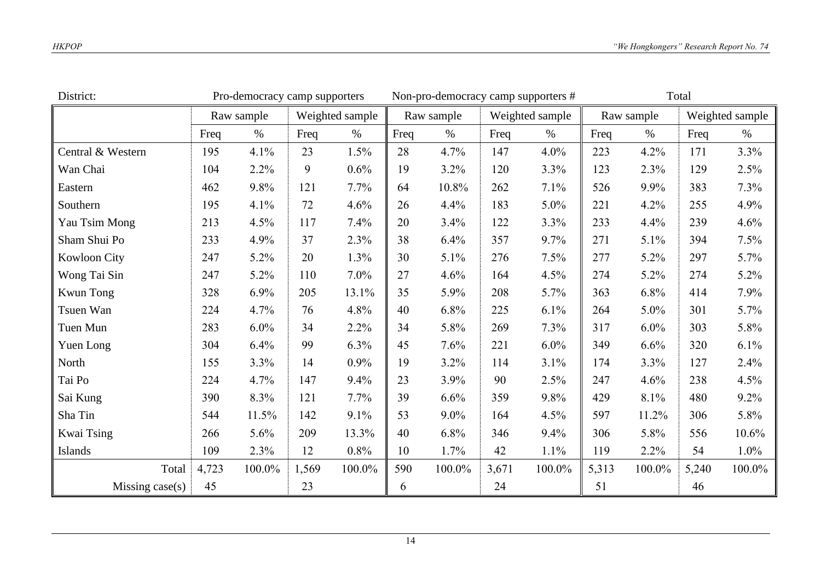| District:         | Pro-democracy camp supporters |            |       |                 |      |            |       | Non-pro-democracy camp supporters # | Total |            |       |                 |
|-------------------|-------------------------------|------------|-------|-----------------|------|------------|-------|-------------------------------------|-------|------------|-------|-----------------|
|                   |                               | Raw sample |       | Weighted sample |      | Raw sample |       | Weighted sample                     |       | Raw sample |       | Weighted sample |
|                   | Freq                          | $\%$       | Freq  | $\%$            | Freq | $\%$       | Freq  | $\%$                                | Freq  | $\%$       | Freq  | $\%$            |
| Central & Western | 195                           | 4.1%       | 23    | 1.5%            | 28   | 4.7%       | 147   | $4.0\%$                             | 223   | 4.2%       | 171   | 3.3%            |
| Wan Chai          | 104                           | 2.2%       | 9     | 0.6%            | 19   | 3.2%       | 120   | 3.3%                                | 123   | 2.3%       | 129   | 2.5%            |
| Eastern           | 462                           | 9.8%       | 121   | 7.7%            | 64   | 10.8%      | 262   | 7.1%                                | 526   | 9.9%       | 383   | 7.3%            |
| Southern          | 195                           | 4.1%       | 72    | 4.6%            | 26   | 4.4%       | 183   | 5.0%                                | 221   | 4.2%       | 255   | 4.9%            |
| Yau Tsim Mong     | 213                           | 4.5%       | 117   | 7.4%            | 20   | 3.4%       | 122   | 3.3%                                | 233   | 4.4%       | 239   | 4.6%            |
| Sham Shui Po      | 233                           | 4.9%       | 37    | 2.3%            | 38   | 6.4%       | 357   | 9.7%                                | 271   | 5.1%       | 394   | 7.5%            |
| Kowloon City      | 247                           | 5.2%       | 20    | 1.3%            | 30   | 5.1%       | 276   | 7.5%                                | 277   | 5.2%       | 297   | $5.7\%$         |
| Wong Tai Sin      | 247                           | 5.2%       | 110   | 7.0%            | 27   | 4.6%       | 164   | 4.5%                                | 274   | 5.2%       | 274   | 5.2%            |
| <b>Kwun Tong</b>  | 328                           | 6.9%       | 205   | 13.1%           | 35   | 5.9%       | 208   | 5.7%                                | 363   | 6.8%       | 414   | 7.9%            |
| Tsuen Wan         | 224                           | 4.7%       | 76    | 4.8%            | 40   | 6.8%       | 225   | 6.1%                                | 264   | 5.0%       | 301   | 5.7%            |
| Tuen Mun          | 283                           | $6.0\%$    | 34    | 2.2%            | 34   | 5.8%       | 269   | 7.3%                                | 317   | $6.0\%$    | 303   | 5.8%            |
| Yuen Long         | 304                           | 6.4%       | 99    | 6.3%            | 45   | 7.6%       | 221   | $6.0\%$                             | 349   | 6.6%       | 320   | 6.1%            |
| North             | 155                           | 3.3%       | 14    | 0.9%            | 19   | 3.2%       | 114   | 3.1%                                | 174   | 3.3%       | 127   | 2.4%            |
| Tai Po            | 224                           | 4.7%       | 147   | 9.4%            | 23   | 3.9%       | 90    | 2.5%                                | 247   | 4.6%       | 238   | 4.5%            |
| Sai Kung          | 390                           | 8.3%       | 121   | 7.7%            | 39   | 6.6%       | 359   | 9.8%                                | 429   | 8.1%       | 480   | $9.2\%$         |
| Sha Tin           | 544                           | 11.5%      | 142   | 9.1%            | 53   | $9.0\%$    | 164   | 4.5%                                | 597   | 11.2%      | 306   | 5.8%            |
| Kwai Tsing        | 266                           | 5.6%       | 209   | 13.3%           | 40   | 6.8%       | 346   | 9.4%                                | 306   | 5.8%       | 556   | 10.6%           |
| Islands           | 109                           | 2.3%       | 12    | 0.8%            | 10   | 1.7%       | 42    | 1.1%                                | 119   | $2.2\%$    | 54    | $1.0\%$         |
| Total             | 4,723                         | 100.0%     | 1,569 | 100.0%          | 590  | 100.0%     | 3,671 | 100.0%                              | 5,313 | 100.0%     | 5,240 | 100.0%          |
| Missing $case(s)$ | 45                            |            | 23    |                 | 6    |            | 24    |                                     | 51    |            | 46    |                 |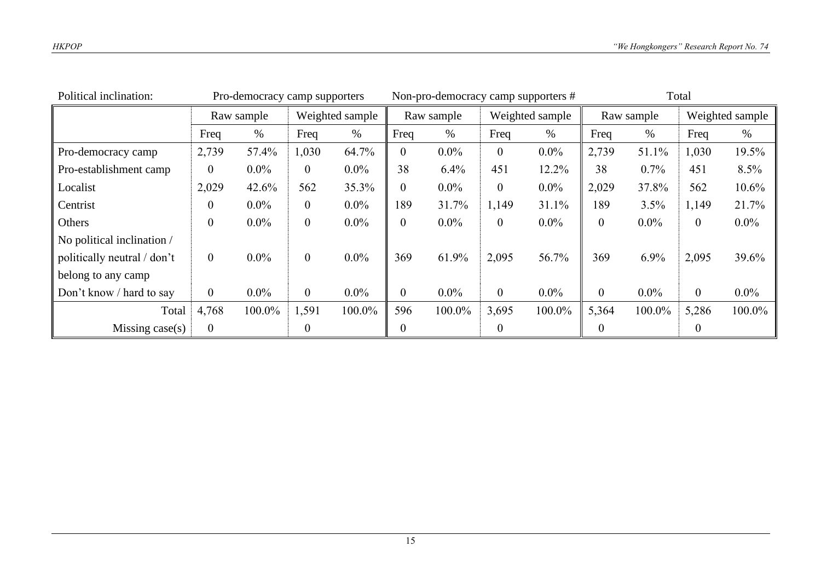| Political inclination:      |                  | Pro-democracy camp supporters |                |                 |                  | Non-pro-democracy camp supporters # |                  |                 | Total            |            |              |                 |
|-----------------------------|------------------|-------------------------------|----------------|-----------------|------------------|-------------------------------------|------------------|-----------------|------------------|------------|--------------|-----------------|
|                             |                  | Raw sample                    |                | Weighted sample |                  | Raw sample                          |                  | Weighted sample |                  | Raw sample |              | Weighted sample |
|                             | Freq             | $\%$                          | Freq           | $\%$            | Freq             | $\%$                                | Freq             | $\%$            | Freq             | $\%$       | Freq         | $\%$            |
| Pro-democracy camp          | 2,739            | 57.4%                         | 1,030          | 64.7%           | $\boldsymbol{0}$ | $0.0\%$                             | $\overline{0}$   | $0.0\%$         | 2,739            | 51.1%      | 1,030        | 19.5%           |
| Pro-establishment camp      | $\mathbf{0}$     | $0.0\%$                       | $\overline{0}$ | $0.0\%$         | 38               | 6.4%                                | 451              | 12.2%           | 38               | $0.7\%$    | 451          | 8.5%            |
| Localist                    | 2,029            | 42.6%                         | 562            | 35.3%           | $\boldsymbol{0}$ | $0.0\%$                             | $\boldsymbol{0}$ | $0.0\%$         | 2,029            | 37.8%      | 562          | 10.6%           |
| Centrist                    | $\mathbf{0}$     | $0.0\%$                       | $\mathbf{0}$   | $0.0\%$         | 189              | 31.7%                               | 1,149            | 31.1%           | 189              | 3.5%       | 1,149        | 21.7%           |
| Others                      | $\boldsymbol{0}$ | $0.0\%$                       | $\mathbf{0}$   | $0.0\%$         | $\boldsymbol{0}$ | $0.0\%$                             | $\overline{0}$   | $0.0\%$         | $\boldsymbol{0}$ | $0.0\%$    | $\mathbf{0}$ | $0.0\%$         |
| No political inclination /  |                  |                               |                |                 |                  |                                     |                  |                 |                  |            |              |                 |
| politically neutral / don't | $\overline{0}$   | $0.0\%$                       | $\mathbf{0}$   | $0.0\%$         | 369              | 61.9%                               | 2,095            | 56.7%           | 369              | 6.9%       | 2,095        | 39.6%           |
| belong to any camp          |                  |                               |                |                 |                  |                                     |                  |                 |                  |            |              |                 |
| Don't know / hard to say    | $\overline{0}$   | $0.0\%$                       | $\mathbf{0}$   | $0.0\%$         | $\overline{0}$   | $0.0\%$                             | $\overline{0}$   | $0.0\%$         | $\overline{0}$   | $0.0\%$    | $\mathbf{0}$ | $0.0\%$         |
| Total                       | 4,768            | 100.0%                        | 1,591          | 100.0%          | 596              | 100.0%                              | 3,695            | 100.0%          | 5,364            | 100.0%     | 5,286        | 100.0%          |
| Missing $case(s)$           | $\mathbf{0}$     |                               | $\overline{0}$ |                 | 0                |                                     | 0                |                 | $\boldsymbol{0}$ |            | $\theta$     |                 |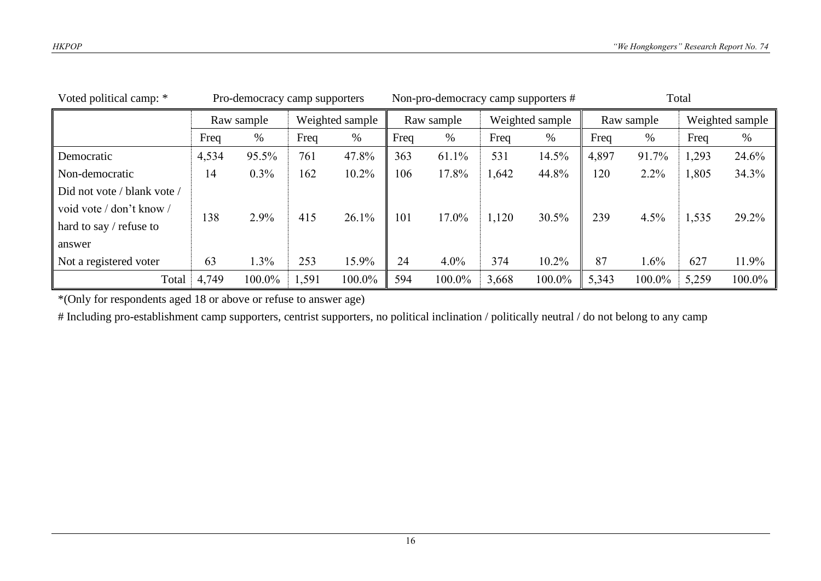| Voted political camp: *     |       | Pro-democracy camp supporters |                 |        |      | Non-pro-democracy camp supporters # |       |                 | Total |            |                 |        |
|-----------------------------|-------|-------------------------------|-----------------|--------|------|-------------------------------------|-------|-----------------|-------|------------|-----------------|--------|
|                             |       | Raw sample                    | Weighted sample |        |      | Raw sample                          |       | Weighted sample |       | Raw sample | Weighted sample |        |
|                             | Freq  | $\%$                          | Freq            | $\%$   | Freq | $\%$                                | Freq  | $\%$            | Freq  | %          | Freq            | %      |
| Democratic                  | 4,534 | 95.5%                         | 761             | 47.8%  | 363  | 61.1%                               | 531   | 14.5%           | 4,897 | 91.7%      | 1,293           | 24.6%  |
| Non-democratic              | 14    | $0.3\%$                       | 162             | 10.2%  | 106  | 17.8%                               | 1,642 | 44.8%           | 120   | 2.2%       | 1,805           | 34.3%  |
| Did not vote / blank vote / |       |                               |                 |        |      |                                     |       |                 |       |            |                 |        |
| void vote / don't know /    | 138   | 2.9%                          | 415             | 26.1%  | 101  | 17.0%                               | 1,120 | 30.5%           | 239   | 4.5%       | 1,535           | 29.2%  |
| hard to say $/$ refuse to   |       |                               |                 |        |      |                                     |       |                 |       |            |                 |        |
| answer                      |       |                               |                 |        |      |                                     |       |                 |       |            |                 |        |
| Not a registered voter      | 63    | 1.3%                          | 253             | 15.9%  | 24   | $4.0\%$                             | 374   | 10.2%           | 87    | 1.6%       | 627             | 11.9%  |
| Total                       | 4,749 | 100.0%                        | 1,591           | 100.0% | 594  | 100.0%                              | 3,668 | 100.0%          | 5,343 | 100.0%     | 5,259           | 100.0% |

\*(Only for respondents aged 18 or above or refuse to answer age)

# Including pro-establishment camp supporters, centrist supporters, no political inclination / politically neutral / do not belong to any camp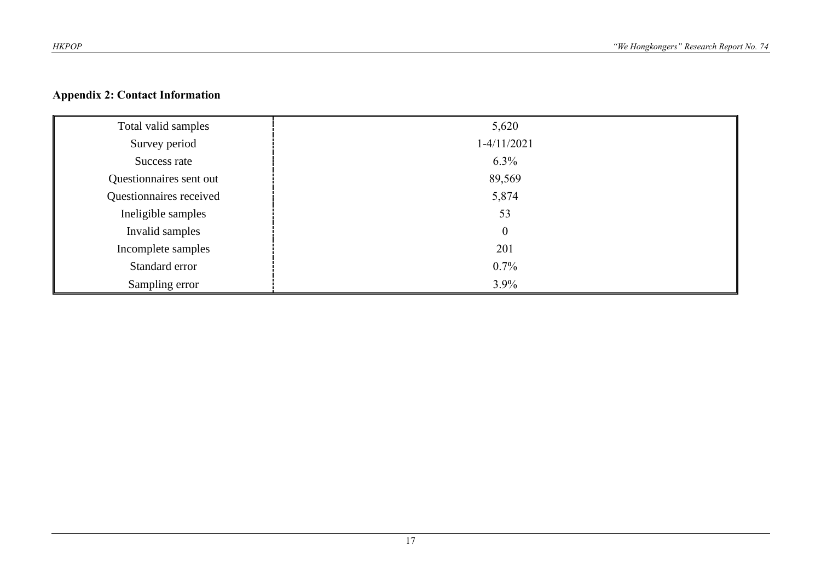# **Appendix 2: Contact Information**

| Total valid samples     | 5,620            |
|-------------------------|------------------|
| Survey period           | 1-4/11/2021      |
| Success rate            | $6.3\%$          |
| Questionnaires sent out | 89,569           |
| Questionnaires received | 5,874            |
| Ineligible samples      | 53               |
| Invalid samples         | $\boldsymbol{0}$ |
| Incomplete samples      | 201              |
| Standard error          | $0.7\%$          |
| Sampling error          | 3.9%             |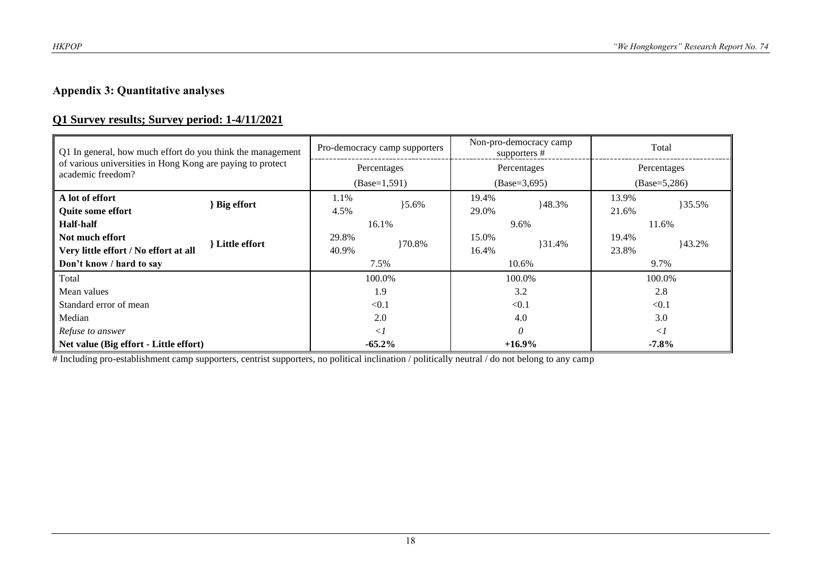# **Appendix 3: Quantitative analyses**

# **Q1 Survey results; Survey period: 1-4/11/2021**

| Q1 In general, how much effort do you think the management<br>of various universities in Hong Kong are paying to protect<br>academic freedom? |                      | Pro-democracy camp supporters |           | Non-pro-democracy camp<br>supporters # |        | Total          |        |
|-----------------------------------------------------------------------------------------------------------------------------------------------|----------------------|-------------------------------|-----------|----------------------------------------|--------|----------------|--------|
|                                                                                                                                               |                      | Percentages                   |           | Percentages                            |        | Percentages    |        |
|                                                                                                                                               |                      | $(Base=1, 591)$               |           | $(Base=3,695)$                         |        | $(Base=5,286)$ |        |
| A lot of effort<br>Quite some effort                                                                                                          | <b>Big effort</b>    |                               | $\{5.6\%$ | 19.4%<br>29.0%                         | 148.3% | 13.9%<br>21.6% | }35.5% |
| <b>Half-half</b>                                                                                                                              |                      | 16.1%                         |           | 9.6%                                   |        | 11.6%          |        |
| Not much effort                                                                                                                               | <b>Little effort</b> | 29.8%                         | }70.8%    | 15.0%                                  | }31.4% | 19.4%          | }43.2% |
| Very little effort / No effort at all                                                                                                         |                      | 40.9%                         |           | 16.4%                                  |        | 23.8%          |        |
| Don't know / hard to say                                                                                                                      |                      | 7.5%                          |           | 10.6%                                  |        | 9.7%           |        |
| Total                                                                                                                                         |                      | 100.0%                        |           | 100.0%                                 |        | 100.0%         |        |
| Mean values                                                                                                                                   |                      | 1.9                           |           | 3.2                                    |        | 2.8            |        |
| Standard error of mean                                                                                                                        |                      | < 0.1                         |           | < 0.1                                  |        | < 0.1          |        |
| Median                                                                                                                                        |                      | 2.0                           |           | 4.0                                    |        | 3.0            |        |
| Refuse to answer                                                                                                                              |                      | $\langle$ 1                   |           | 0                                      |        | $\langle$ 1    |        |
| Net value (Big effort - Little effort)                                                                                                        |                      | $-65.2%$                      |           | $+16.9\%$                              |        | $-7.8%$        |        |

# Including pro-establishment camp supporters, centrist supporters, no political inclination / politically neutral / do not belong to any camp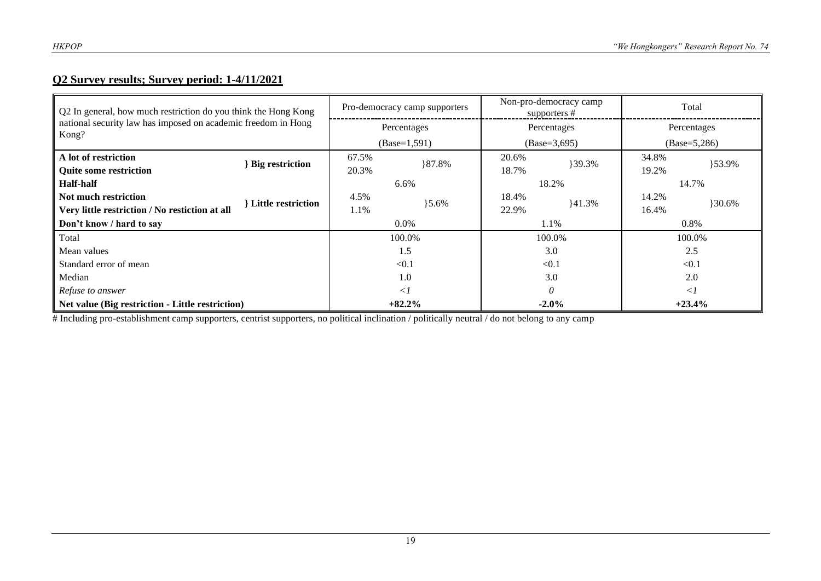### **Q2 Survey results; Survey period: 1-4/11/2021**

| Q2 In general, how much restriction do you think the Hong Kong<br>national security law has imposed on academic freedom in Hong<br>Kong? |                           | Pro-democracy camp supporters |                   | Non-pro-democracy camp<br>supporters # |            | Total          |        |
|------------------------------------------------------------------------------------------------------------------------------------------|---------------------------|-------------------------------|-------------------|----------------------------------------|------------|----------------|--------|
|                                                                                                                                          |                           | Percentages                   |                   | Percentages                            |            | Percentages    |        |
|                                                                                                                                          |                           | $(Base=1,591)$                |                   | $(Base=3,695)$                         |            | $(Base=5,286)$ |        |
| A lot of restriction                                                                                                                     | <b>Big restriction</b>    | 67.5%                         | }87.8%            | 20.6%                                  | }39.3%     | 34.8%          | }53.9% |
| <b>Quite some restriction</b>                                                                                                            |                           | 20.3%                         |                   | 18.7%                                  |            | 19.2%          |        |
| Half-half                                                                                                                                |                           | 6.6%                          |                   | 18.2%                                  |            | 14.7%          |        |
| Not much restriction                                                                                                                     | <b>Little restriction</b> | 4.5%                          | $\frac{5.6\%}{2}$ | 18.4%                                  | $\{41.3\%$ | 14.2%          | }30.6% |
| Very little restriction / No restiction at all                                                                                           |                           | 1.1%                          |                   | 22.9%                                  |            | 16.4%          |        |
| Don't know / hard to say                                                                                                                 |                           | $0.0\%$                       |                   | 1.1%                                   |            | 0.8%           |        |
| Total                                                                                                                                    |                           | 100.0%                        |                   | 100.0%                                 |            | 100.0%         |        |
| Mean values                                                                                                                              |                           | 1.5                           |                   | 3.0                                    |            | 2.5            |        |
| Standard error of mean                                                                                                                   |                           | < 0.1                         |                   | < 0.1                                  |            | < 0.1          |        |
| Median                                                                                                                                   |                           | 1.0                           |                   | 3.0                                    |            | 2.0            |        |
| Refuse to answer                                                                                                                         |                           | $\langle$ 1                   |                   | 0                                      |            | $\langle$      |        |
| Net value (Big restriction - Little restriction)                                                                                         |                           | $+82.2%$                      |                   | $-2.0\%$                               |            | $+23.4%$       |        |

# Including pro-establishment camp supporters, centrist supporters, no political inclination / politically neutral / do not belong to any camp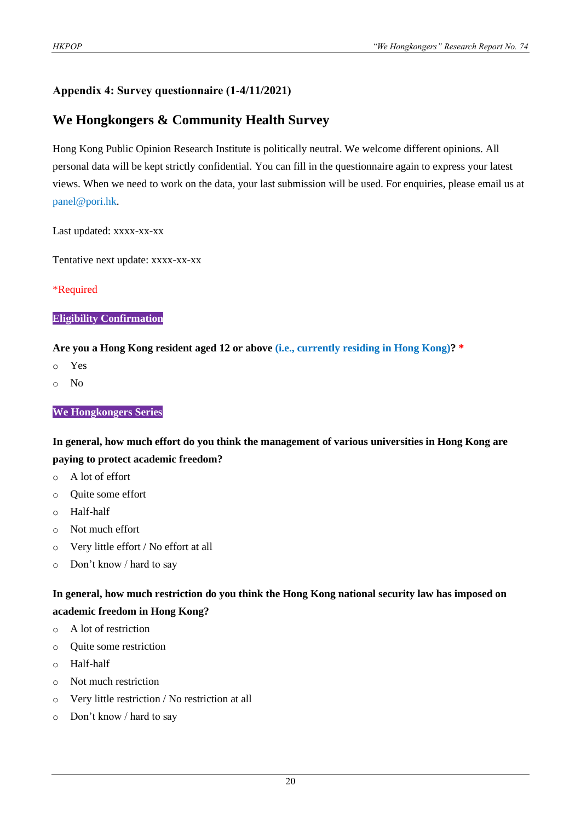## **Appendix 4: Survey questionnaire (1-4/11/2021)**

# **We Hongkongers & Community Health Survey**

Hong Kong Public Opinion Research Institute is politically neutral. We welcome different opinions. All personal data will be kept strictly confidential. You can fill in the questionnaire again to express your latest views. When we need to work on the data, your last submission will be used. For enquiries, please email us at panel@pori.hk.

Last updated: xxxx-xx-xx

Tentative next update: xxxx-xx-xx

#### \*Required

#### **Eligibility Confirmation**

#### **Are you a Hong Kong resident aged 12 or above (i.e., currently residing in Hong Kong)? \***

- o Yes
- o No

#### **We Hongkongers Series**

# **In general, how much effort do you think the management of various universities in Hong Kong are paying to protect academic freedom?**

- o A lot of effort
- o Quite some effort
- o Half-half
- o Not much effort
- o Very little effort / No effort at all
- o Don't know / hard to say

# **In general, how much restriction do you think the Hong Kong national security law has imposed on academic freedom in Hong Kong?**

- o A lot of restriction
- o Quite some restriction
- o Half-half
- o Not much restriction
- o Very little restriction / No restriction at all
- o Don't know / hard to say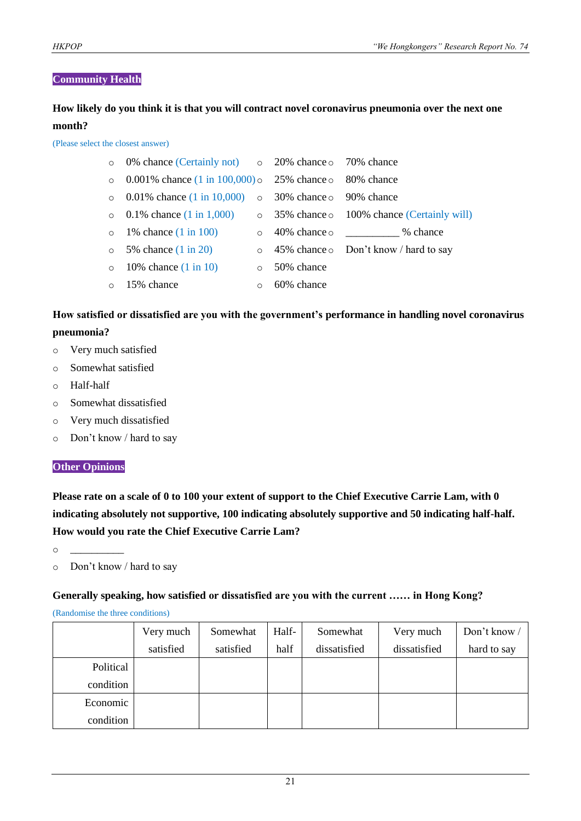#### **Community Health**

# **How likely do you think it is that you will contract novel coronavirus pneumonia over the next one month?**

(Please select the closest answer)

| $\circ$ | 0% chance (Certainly not) o 20% chance o 70% chance               |         |                            |                                                         |
|---------|-------------------------------------------------------------------|---------|----------------------------|---------------------------------------------------------|
| $\circ$ | 0.001% chance $(1 \text{ in } 100,000)$ o 25% chance o 80% chance |         |                            |                                                         |
|         | o 0.01% chance $(1 \text{ in } 10,000)$ o 30% chance o 90% chance |         |                            |                                                         |
|         | o 0.1% chance $(1 \text{ in } 1,000)$                             |         |                            | $\circ$ 35% chance $\circ$ 100% chance (Certainly will) |
|         | $\circ$ 1% chance (1 in 100)                                      |         | $\circ$ 40% chance $\circ$ | % chance                                                |
|         | $\circ$ 5% chance (1 in 20)                                       |         |                            | $\circ$ 45% chance $\circ$ Don't know / hard to say     |
| $\circ$ | 10% chance $(1 \text{ in } 10)$                                   | $\circ$ | 50% chance                 |                                                         |
|         | $\circ$ 15% chance                                                | $\circ$ | 60% chance                 |                                                         |

# **How satisfied or dissatisfied are you with the government's performance in handling novel coronavirus pneumonia?**

- o Very much satisfied
- o Somewhat satisfied
- o Half-half
- o Somewhat dissatisfied
- o Very much dissatisfied
- o Don't know / hard to say

#### **Other Opinions**

**Please rate on a scale of 0 to 100 your extent of support to the Chief Executive Carrie Lam, with 0 indicating absolutely not supportive, 100 indicating absolutely supportive and 50 indicating half-half. How would you rate the Chief Executive Carrie Lam?**

 $\circ$ 

o Don't know / hard to say

#### **Generally speaking, how satisfied or dissatisfied are you with the current …… in Hong Kong?**

(Randomise the three conditions)

|           | Very much | Somewhat  | Half- | Somewhat     | Very much    | Don't know / |
|-----------|-----------|-----------|-------|--------------|--------------|--------------|
|           | satisfied | satisfied | half  | dissatisfied | dissatisfied | hard to say  |
| Political |           |           |       |              |              |              |
| condition |           |           |       |              |              |              |
| Economic  |           |           |       |              |              |              |
| condition |           |           |       |              |              |              |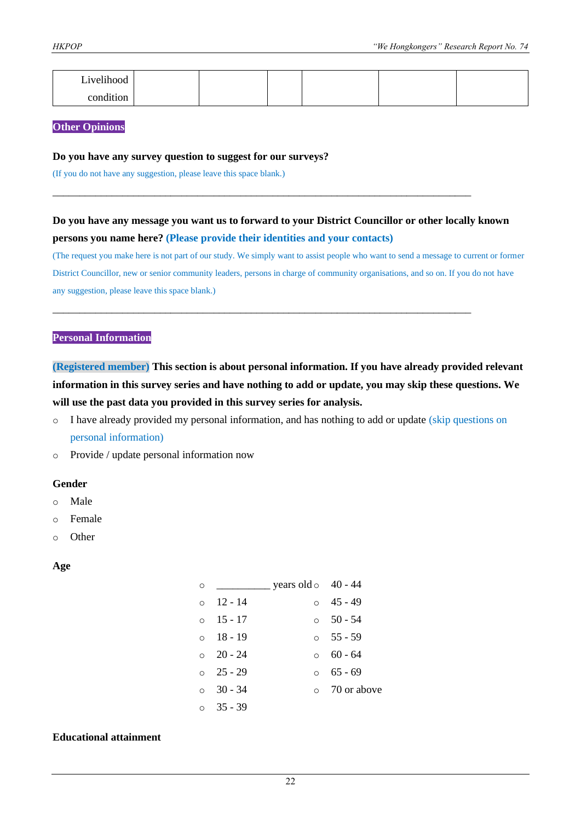| Livelihood |  |  |  |
|------------|--|--|--|
| condition  |  |  |  |

**Other Opinions**

#### **Do you have any survey question to suggest for our surveys?**

(If you do not have any suggestion, please leave this space blank.)

### **Do you have any message you want us to forward to your District Councillor or other locally known persons you name here? (Please provide their identities and your contacts)**

\_\_\_\_\_\_\_\_\_\_\_\_\_\_\_\_\_\_\_\_\_\_\_\_\_\_\_\_\_\_\_\_\_\_\_\_\_\_\_\_\_\_\_\_\_\_\_\_\_\_\_\_\_\_\_\_\_\_\_\_\_\_\_\_\_\_\_\_\_\_\_\_\_\_\_\_\_\_

\_\_\_\_\_\_\_\_\_\_\_\_\_\_\_\_\_\_\_\_\_\_\_\_\_\_\_\_\_\_\_\_\_\_\_\_\_\_\_\_\_\_\_\_\_\_\_\_\_\_\_\_\_\_\_\_\_\_\_\_\_\_\_\_\_\_\_\_\_\_\_\_\_\_\_\_\_\_

(The request you make here is not part of our study. We simply want to assist people who want to send a message to current or former District Councillor, new or senior community leaders, persons in charge of community organisations, and so on. If you do not have any suggestion, please leave this space blank.)

#### **Personal Information**

**(Registered member) This section is about personal information. If you have already provided relevant information in this survey series and have nothing to add or update, you may skip these questions. We will use the past data you provided in this survey series for analysis.**

- o I have already provided my personal information, and has nothing to add or update (skip questions on personal information)
- o Provide / update personal information now

#### **Gender**

- o Male
- o Female
- o Other

**Age**

| O        |                 | years old $\circ$ 40 - 44 |                 |
|----------|-----------------|---------------------------|-----------------|
| $\Omega$ | $12 - 14$       |                           | $\circ$ 45 - 49 |
|          | $\circ$ 15 - 17 |                           | $\circ$ 50 - 54 |
|          | $\circ$ 18 - 19 |                           | $\circ$ 55 - 59 |
|          | $\circ$ 20 - 24 | $\Omega$                  | 60 - 64         |
|          | $\circ$ 25 - 29 | $\Omega$                  | $65 - 69$       |
| $\Omega$ | $30 - 34$       |                           | 70 or above     |
| $\Omega$ | $35 - 39$       |                           |                 |

#### **Educational attainment**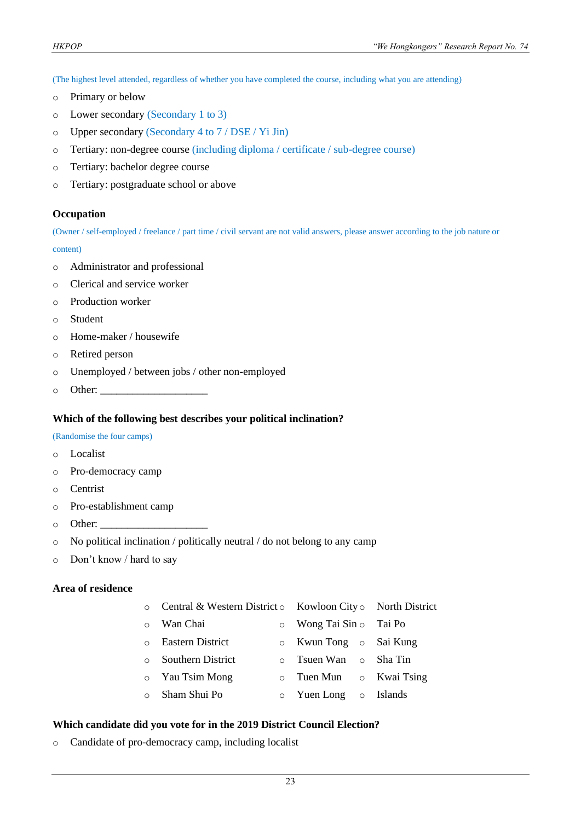(The highest level attended, regardless of whether you have completed the course, including what you are attending)

- o Primary or below
- o Lower secondary (Secondary 1 to 3)
- o Upper secondary (Secondary 4 to 7 / DSE / Yi Jin)
- o Tertiary: non-degree course (including diploma / certificate / sub-degree course)
- o Tertiary: bachelor degree course
- o Tertiary: postgraduate school or above

#### **Occupation**

(Owner / self-employed / freelance / part time / civil servant are not valid answers, please answer according to the job nature or content)

- o Administrator and professional
- o Clerical and service worker
- o Production worker
- o Student
- o Home-maker / housewife
- o Retired person
- o Unemployed / between jobs / other non-employed
- $\circ$  Other:  $\_\_$

#### **Which of the following best describes your political inclination?**

#### (Randomise the four camps)

- o Localist
- o Pro-democracy camp
- o Centrist
- o Pro-establishment camp
- $\circ$  Other:
- o No political inclination / politically neutral / do not belong to any camp
- o Don't know / hard to say

#### **Area of residence**

| o Central & Western District o Kowloon City o North District |                                     |  |  |
|--------------------------------------------------------------|-------------------------------------|--|--|
| Wan Chai<br>$\circ$                                          | Wong Tai Sin $\circ$ Tai Po         |  |  |
| Eastern District                                             | $\circ$ Kwun Tong $\circ$ Sai Kung  |  |  |
| <b>Southern District</b>                                     | $\circ$ Tsuen Wan $\circ$ Sha Tin   |  |  |
| $\circ$ Yau Tsim Mong                                        | $\circ$ Tuen Mun $\circ$ Kwai Tsing |  |  |
| Sham Shui Po                                                 | $\circ$ Yuen Long $\circ$ Islands   |  |  |

#### **Which candidate did you vote for in the 2019 District Council Election?**

o Candidate of pro-democracy camp, including localist